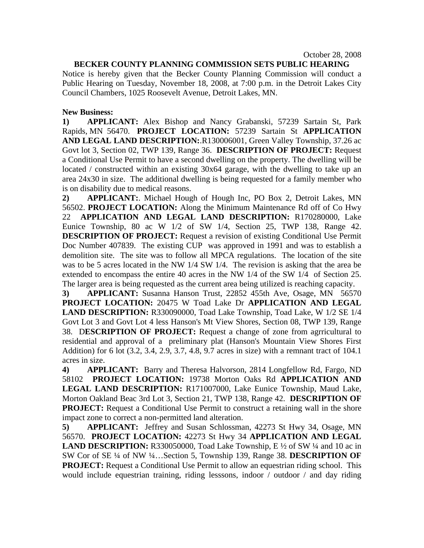October 28, 2008

## **BECKER COUNTY PLANNING COMMISSION SETS PUBLIC HEARING**

Notice is hereby given that the Becker County Planning Commission will conduct a Public Hearing on Tuesday, November 18, 2008, at 7:00 p.m. in the Detroit Lakes City Council Chambers, 1025 Roosevelt Avenue, Detroit Lakes, MN.

## **New Business:**

**1) APPLICANT:** Alex Bishop and Nancy Grabanski, 57239 Sartain St, Park Rapids, MN 56470. **PROJECT LOCATION:** 57239 Sartain St **APPLICATION AND LEGAL LAND DESCRIPTION:**.R130006001, Green Valley Township, 37.26 ac Govt lot 3, Section 02, TWP 139, Range 36. **DESCRIPTION OF PROJECT:** Request a Conditional Use Permit to have a second dwelling on the property. The dwelling will be located / constructed within an existing 30x64 garage, with the dwelling to take up an area 24x30 in size. The additional dwelling is being requested for a family member who is on disability due to medical reasons.

**2) APPLICANT:**. Michael Hough of Hough Inc, PO Box 2, Detroit Lakes, MN 56502. **PROJECT LOCATION:** Along the Minimum Maintenance Rd off of Co Hwy 22 **APPLICATION AND LEGAL LAND DESCRIPTION:** R170280000, Lake Eunice Township, 80 ac W 1/2 of SW 1/4, Section 25, TWP 138, Range 42. **DESCRIPTION OF PROJECT:** Request a revision of existing Conditional Use Permit Doc Number 407839. The existing CUP was approved in 1991 and was to establish a demolition site. The site was to follow all MPCA regulations. The location of the site was to be 5 acres located in the NW 1/4 SW 1/4. The revision is asking that the area be extended to encompass the entire 40 acres in the NW 1/4 of the SW 1/4 of Section 25. The larger area is being requested as the current area being utilized is reaching capacity.

**3) APPLICANT:** Susanna Hanson Trust, 22852 455th Ave, Osage, MN 56570 **PROJECT LOCATION:** 20475 W Toad Lake Dr **APPLICATION AND LEGAL LAND DESCRIPTION:** R330090000, Toad Lake Township, Toad Lake, W 1/2 SE 1/4 Govt Lot 3 and Govt Lot 4 less Hanson's Mt View Shores, Section 08, TWP 139, Range 38. D**ESCRIPTION OF PROJECT:** Request a change of zone from agrricultural to residential and approval of a preliminary plat (Hanson's Mountain View Shores First Addition) for 6 lot (3.2, 3.4, 2.9, 3.7, 4.8, 9.7 acres in size) with a remnant tract of 104.1 acres in size.

**4) APPLICANT:** Barry and Theresa Halvorson, 2814 Longfellow Rd, Fargo, ND 58102 **PROJECT LOCATION:** 19738 Morton Oaks Rd **APPLICATION AND LEGAL LAND DESCRIPTION:** R171007000, Lake Eunice Township, Maud Lake, Morton Oakland Beac 3rd Lot 3, Section 21, TWP 138, Range 42. **DESCRIPTION OF PROJECT:** Request a Conditional Use Permit to construct a retaining wall in the shore impact zone to correct a non-permitted land alteration.

**5) APPLICANT:** Jeffrey and Susan Schlossman, 42273 St Hwy 34, Osage, MN 56570. **PROJECT LOCATION:** 42273 St Hwy 34 **APPLICATION AND LEGAL LAND DESCRIPTION:** R330050000, Toad Lake Township, E ½ of SW ¼ and 10 ac in SW Cor of SE ¼ of NW ¼…Section 5, Township 139, Range 38. **DESCRIPTION OF PROJECT:** Request a Conditional Use Permit to allow an equestrian riding school. This would include equestrian training, riding lesssons, indoor / outdoor / and day riding